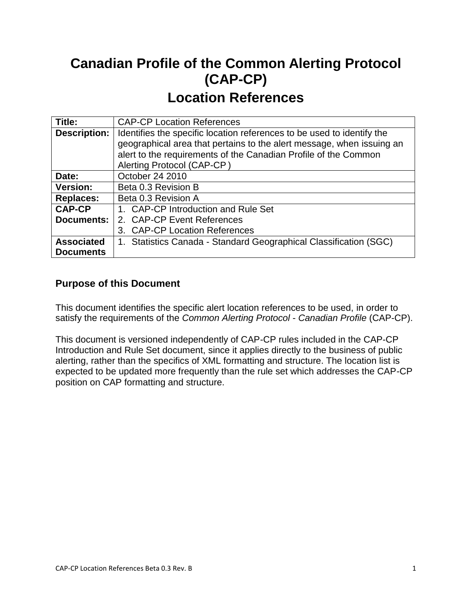# **Canadian Profile of the Common Alerting Protocol (CAP-CP) Location References**

| Title:              | <b>CAP-CP Location References</b>                                      |  |
|---------------------|------------------------------------------------------------------------|--|
| <b>Description:</b> | Identifies the specific location references to be used to identify the |  |
|                     | geographical area that pertains to the alert message, when issuing an  |  |
|                     | alert to the requirements of the Canadian Profile of the Common        |  |
|                     | Alerting Protocol (CAP-CP)                                             |  |
| Date:               | October 24 2010                                                        |  |
| <b>Version:</b>     | Beta 0.3 Revision B                                                    |  |
| <b>Replaces:</b>    | Beta 0.3 Revision A                                                    |  |
| <b>CAP-CP</b>       | 1. CAP-CP Introduction and Rule Set                                    |  |
| <b>Documents:</b>   | 2. CAP-CP Event References                                             |  |
|                     | 3. CAP-CP Location References                                          |  |
| <b>Associated</b>   | 1. Statistics Canada - Standard Geographical Classification (SGC)      |  |
| <b>Documents</b>    |                                                                        |  |

# **Purpose of this Document**

This document identifies the specific alert location references to be used, in order to satisfy the requirements of the *Common Alerting Protocol* - *Canadian Profile* (CAP-CP).

This document is versioned independently of CAP-CP rules included in the CAP-CP Introduction and Rule Set document, since it applies directly to the business of public alerting, rather than the specifics of XML formatting and structure. The location list is expected to be updated more frequently than the rule set which addresses the CAP-CP position on CAP formatting and structure.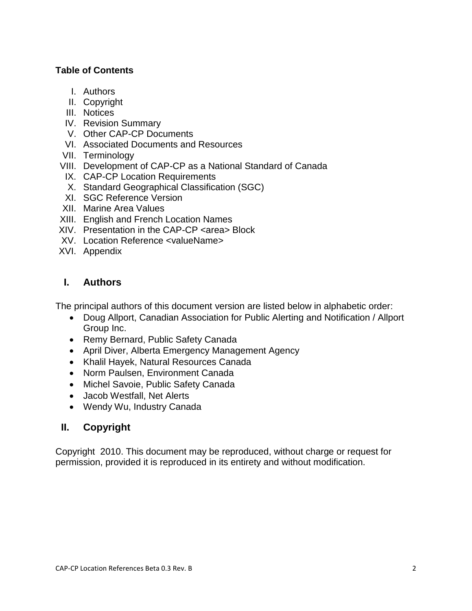### **Table of Contents**

- I. Authors
- II. Copyright
- III. Notices
- IV. Revision Summary
- V. Other CAP-CP Documents
- VI. Associated Documents and Resources
- VII. Terminology
- VIII. Development of CAP-CP as a National Standard of Canada
- IX. CAP-CP Location Requirements
- X. Standard Geographical Classification (SGC)
- XI. SGC Reference Version
- XII. Marine Area Values
- XIII. English and French Location Names
- XIV. Presentation in the CAP-CP <area> Block
- XV. Location Reference <valueName>
- XVI. Appendix

### **I. Authors**

The principal authors of this document version are listed below in alphabetic order:

- Doug Allport, Canadian Association for Public Alerting and Notification / Allport Group Inc.
- Remy Bernard, Public Safety Canada
- April Diver, Alberta Emergency Management Agency
- Khalil Hayek, Natural Resources Canada
- Norm Paulsen, Environment Canada
- Michel Savoie, Public Safety Canada
- Jacob Westfall, Net Alerts
- Wendy Wu, Industry Canada

# **II. Copyright**

Copyright 2010. This document may be reproduced, without charge or request for permission, provided it is reproduced in its entirety and without modification.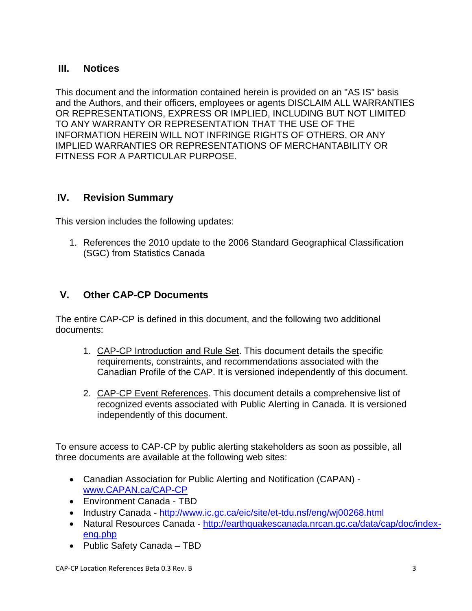### **III. Notices**

This document and the information contained herein is provided on an "AS IS" basis and the Authors, and their officers, employees or agents DISCLAIM ALL WARRANTIES OR REPRESENTATIONS, EXPRESS OR IMPLIED, INCLUDING BUT NOT LIMITED TO ANY WARRANTY OR REPRESENTATION THAT THE USE OF THE INFORMATION HEREIN WILL NOT INFRINGE RIGHTS OF OTHERS, OR ANY IMPLIED WARRANTIES OR REPRESENTATIONS OF MERCHANTABILITY OR FITNESS FOR A PARTICULAR PURPOSE.

### **IV. Revision Summary**

This version includes the following updates:

1. References the 2010 update to the 2006 Standard Geographical Classification (SGC) from Statistics Canada

# **V. Other CAP-CP Documents**

The entire CAP-CP is defined in this document, and the following two additional documents:

- 1. CAP-CP Introduction and Rule Set. This document details the specific requirements, constraints, and recommendations associated with the Canadian Profile of the CAP. It is versioned independently of this document.
- 2. CAP-CP Event References. This document details a comprehensive list of recognized events associated with Public Alerting in Canada. It is versioned independently of this document.

To ensure access to CAP-CP by public alerting stakeholders as soon as possible, all three documents are available at the following web sites:

- Canadian Association for Public Alerting and Notification (CAPAN) [www.CAPAN.ca/CAP-CP](http://www.capan.ca/CAP-CP)
- Environment Canada TBD
- Industry Canada <http://www.ic.gc.ca/eic/site/et-tdu.nsf/eng/wj00268.html>
- Natural Resources Canada [http://earthquakescanada.nrcan.gc.ca/data/cap/doc/index](http://earthquakescanada.nrcan.gc.ca/data/cap/doc/index-eng.php)[eng.php](http://earthquakescanada.nrcan.gc.ca/data/cap/doc/index-eng.php)
- Public Safety Canada TBD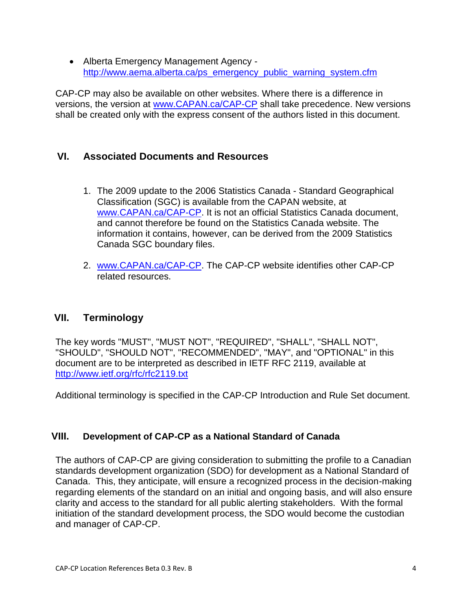Alberta Emergency Management Agency [http://www.aema.alberta.ca/ps\\_emergency\\_public\\_warning\\_system.cfm](http://www.aema.alberta.ca/ps_emergency_public_warning_system.cfm)

CAP-CP may also be available on other websites. Where there is a difference in versions, the version at [www.CAPAN.ca/CAP-CP](http://www.capan.ca/CAP-CP) shall take precedence. New versions shall be created only with the express consent of the authors listed in this document.

# **VI. Associated Documents and Resources**

- 1. The 2009 update to the 2006 Statistics Canada Standard Geographical Classification (SGC) is available from the CAPAN website, at [www.CAPAN.ca/CAP-CP.](http://www.capan.ca/CAP-CP) It is not an official Statistics Canada document, and cannot therefore be found on the Statistics Canada website. The information it contains, however, can be derived from the 2009 Statistics Canada SGC boundary files.
- 2. [www.CAPAN.ca/CAP-CP.](http://www.capan.ca/CAP-CP) The CAP-CP website identifies other CAP-CP related resources.

### **VII. Terminology**

The key words "MUST", "MUST NOT", "REQUIRED", "SHALL", "SHALL NOT", "SHOULD", "SHOULD NOT", "RECOMMENDED", "MAY", and "OPTIONAL" in this document are to be interpreted as described in IETF RFC 2119, available at <http://www.ietf.org/rfc/rfc2119.txt>

Additional terminology is specified in the CAP-CP Introduction and Rule Set document.

### **VIII. Development of CAP-CP as a National Standard of Canada**

The authors of CAP-CP are giving consideration to submitting the profile to a Canadian standards development organization (SDO) for development as a National Standard of Canada. This, they anticipate, will ensure a recognized process in the decision-making regarding elements of the standard on an initial and ongoing basis, and will also ensure clarity and access to the standard for all public alerting stakeholders. With the formal initiation of the standard development process, the SDO would become the custodian and manager of CAP-CP.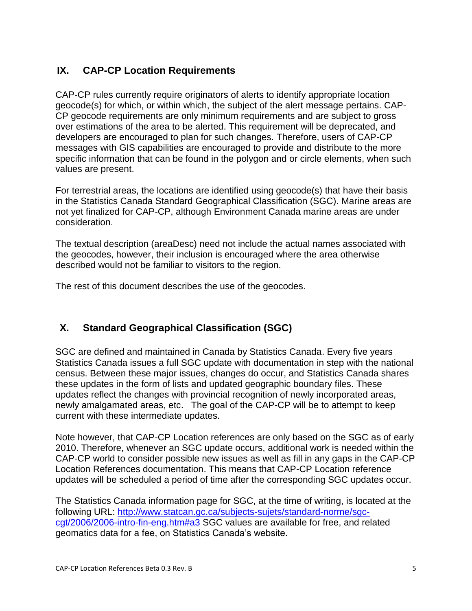# **IX. CAP-CP Location Requirements**

CAP-CP rules currently require originators of alerts to identify appropriate location geocode(s) for which, or within which, the subject of the alert message pertains. CAP-CP geocode requirements are only minimum requirements and are subject to gross over estimations of the area to be alerted. This requirement will be deprecated, and developers are encouraged to plan for such changes. Therefore, users of CAP-CP messages with GIS capabilities are encouraged to provide and distribute to the more specific information that can be found in the polygon and or circle elements, when such values are present.

For terrestrial areas, the locations are identified using geocode(s) that have their basis in the Statistics Canada Standard Geographical Classification (SGC). Marine areas are not yet finalized for CAP-CP, although Environment Canada marine areas are under consideration.

The textual description (areaDesc) need not include the actual names associated with the geocodes, however, their inclusion is encouraged where the area otherwise described would not be familiar to visitors to the region.

The rest of this document describes the use of the geocodes.

# **X. Standard Geographical Classification (SGC)**

SGC are defined and maintained in Canada by Statistics Canada. Every five years Statistics Canada issues a full SGC update with documentation in step with the national census. Between these major issues, changes do occur, and Statistics Canada shares these updates in the form of lists and updated geographic boundary files. These updates reflect the changes with provincial recognition of newly incorporated areas, newly amalgamated areas, etc. The goal of the CAP-CP will be to attempt to keep current with these intermediate updates.

Note however, that CAP-CP Location references are only based on the SGC as of early 2010. Therefore, whenever an SGC update occurs, additional work is needed within the CAP-CP world to consider possible new issues as well as fill in any gaps in the CAP-CP Location References documentation. This means that CAP-CP Location reference updates will be scheduled a period of time after the corresponding SGC updates occur.

The Statistics Canada information page for SGC, at the time of writing, is located at the following URL: [http://www.statcan.gc.ca/subjects-sujets/standard-norme/sgc](http://www.statcan.gc.ca/subjects-sujets/standard-norme/sgc-cgt/2006/2006-intro-fin-eng.htm#a3)[cgt/2006/2006-intro-fin-eng.htm#a3](http://www.statcan.gc.ca/subjects-sujets/standard-norme/sgc-cgt/2006/2006-intro-fin-eng.htm#a3) SGC values are available for free, and related geomatics data for a fee, on Statistics Canada's website.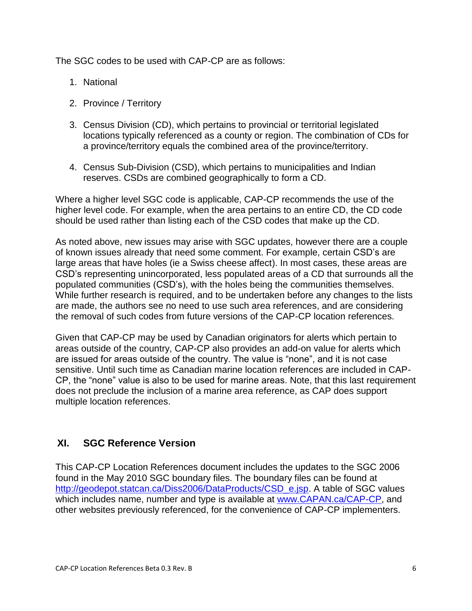The SGC codes to be used with CAP-CP are as follows:

- 1. National
- 2. Province / Territory
- 3. Census Division (CD), which pertains to provincial or territorial legislated locations typically referenced as a county or region. The combination of CDs for a province/territory equals the combined area of the province/territory.
- 4. Census Sub-Division (CSD), which pertains to municipalities and Indian reserves. CSDs are combined geographically to form a CD.

Where a higher level SGC code is applicable, CAP-CP recommends the use of the higher level code. For example, when the area pertains to an entire CD, the CD code should be used rather than listing each of the CSD codes that make up the CD.

As noted above, new issues may arise with SGC updates, however there are a couple of known issues already that need some comment. For example, certain CSD's are large areas that have holes (ie a Swiss cheese affect). In most cases, these areas are CSD's representing unincorporated, less populated areas of a CD that surrounds all the populated communities (CSD's), with the holes being the communities themselves. While further research is required, and to be undertaken before any changes to the lists are made, the authors see no need to use such area references, and are considering the removal of such codes from future versions of the CAP-CP location references.

Given that CAP-CP may be used by Canadian originators for alerts which pertain to areas outside of the country, CAP-CP also provides an add-on value for alerts which are issued for areas outside of the country. The value is "none", and it is not case sensitive. Until such time as Canadian marine location references are included in CAP-CP, the "none" value is also to be used for marine areas. Note, that this last requirement does not preclude the inclusion of a marine area reference, as CAP does support multiple location references.

# **XI. SGC Reference Version**

This CAP-CP Location References document includes the updates to the SGC 2006 found in the May 2010 SGC boundary files. The boundary files can be found at [http://geodepot.statcan.ca/Diss2006/DataProducts/CSD\\_e.jsp.](http://geodepot.statcan.ca/Diss2006/DataProducts/CSD_e.jsp) A table of SGC values which includes name, number and type is available at [www.CAPAN.ca/CAP-CP,](http://www.capan.ca/CAP-CP) and other websites previously referenced, for the convenience of CAP-CP implementers.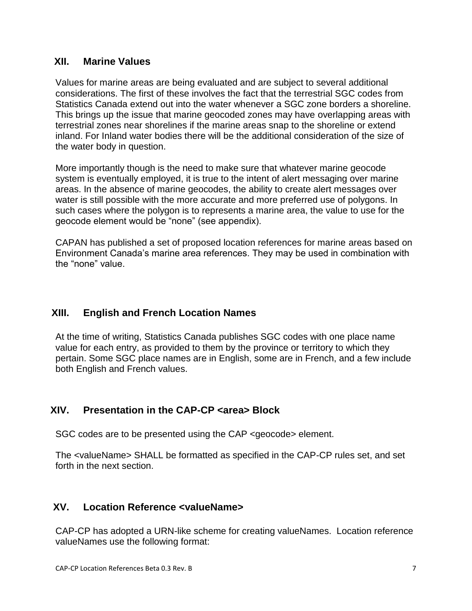### **XII. Marine Values**

Values for marine areas are being evaluated and are subject to several additional considerations. The first of these involves the fact that the terrestrial SGC codes from Statistics Canada extend out into the water whenever a SGC zone borders a shoreline. This brings up the issue that marine geocoded zones may have overlapping areas with terrestrial zones near shorelines if the marine areas snap to the shoreline or extend inland. For Inland water bodies there will be the additional consideration of the size of the water body in question.

More importantly though is the need to make sure that whatever marine geocode system is eventually employed, it is true to the intent of alert messaging over marine areas. In the absence of marine geocodes, the ability to create alert messages over water is still possible with the more accurate and more preferred use of polygons. In such cases where the polygon is to represents a marine area, the value to use for the geocode element would be "none" (see appendix).

CAPAN has published a set of proposed location references for marine areas based on Environment Canada's marine area references. They may be used in combination with the "none" value.

# **XIII. English and French Location Names**

At the time of writing, Statistics Canada publishes SGC codes with one place name value for each entry, as provided to them by the province or territory to which they pertain. Some SGC place names are in English, some are in French, and a few include both English and French values.

# **XIV. Presentation in the CAP-CP <area> Block**

SGC codes are to be presented using the CAP <geocode> element.

The <valueName> SHALL be formatted as specified in the CAP-CP rules set, and set forth in the next section.

### **XV. Location Reference <valueName>**

CAP-CP has adopted a URN-like scheme for creating valueNames. Location reference valueNames use the following format: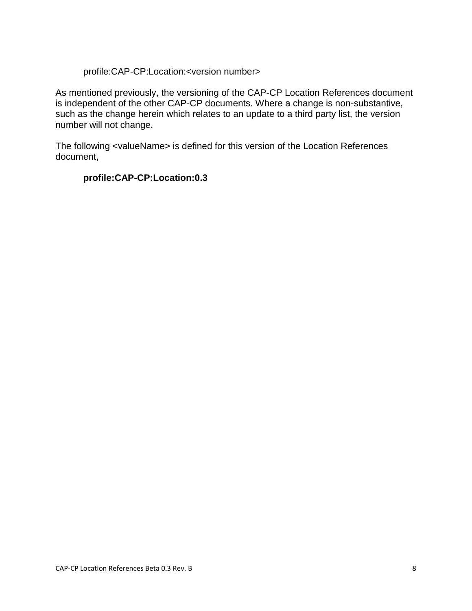#### profile:CAP-CP:Location:<version number>

As mentioned previously, the versioning of the CAP-CP Location References document is independent of the other CAP-CP documents. Where a change is non-substantive, such as the change herein which relates to an update to a third party list, the version number will not change.

The following <valueName> is defined for this version of the Location References document,

#### **profile:CAP-CP:Location:0.3**